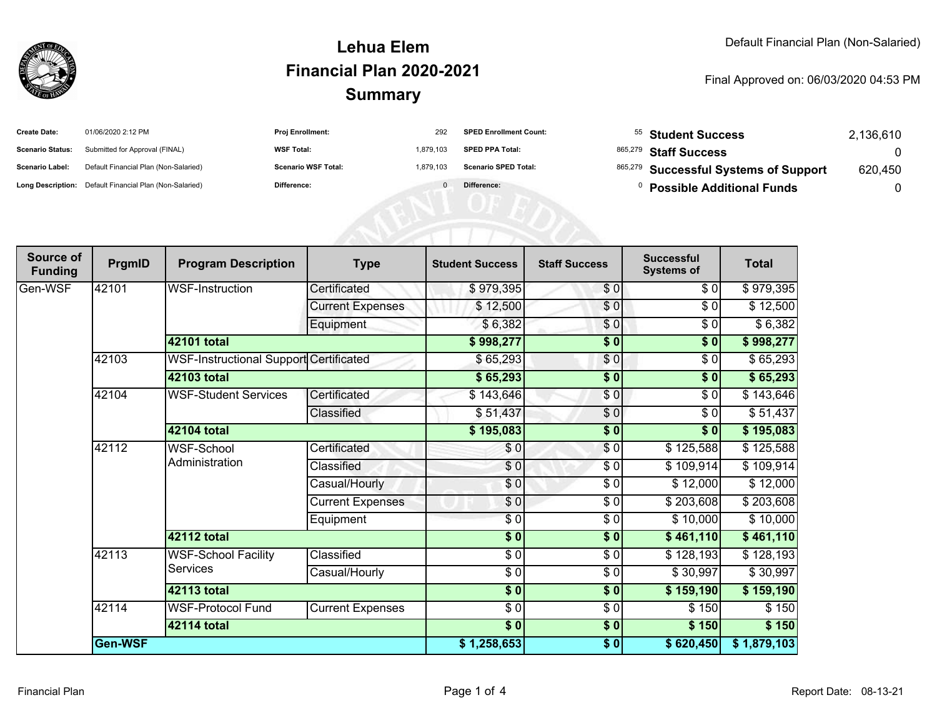

#### **SummaryLehua ElemFinancial Plan 2020-2021**

#### Final Approved on: 06/03/2020 04:53 PM

| <b>Create Date:</b>     | 01/06/2020 2:12 PM                                      | <b>Proj Enrollment:</b>    | 292       | <b>SPED Enrollment Count:</b> | <sup>55</sup> Student Success         | 2.136.610 |
|-------------------------|---------------------------------------------------------|----------------------------|-----------|-------------------------------|---------------------------------------|-----------|
| <b>Scenario Status:</b> | Submitted for Approval (FINAL)                          | <b>WSF Total:</b>          | 1.879.103 | <b>SPED PPA Total:</b>        | <sup>865,279</sup> Staff Success      |           |
| <b>Scenario Label:</b>  | Default Financial Plan (Non-Salaried)                   | <b>Scenario WSF Total:</b> | 1.879.103 | <b>Scenario SPED Total:</b>   | 865,279 Successful Systems of Support | 620,450   |
|                         | Long Description: Default Financial Plan (Non-Salaried) | Difference:                |           | Difference:                   | <b>Possible Additional Funds</b>      |           |

AFRICATED

| Source of<br><b>Funding</b> | PrgmID  | <b>Program Description</b>                    | <b>Type</b>             | <b>Student Success</b> | <b>Staff Success</b> | <b>Successful</b><br><b>Systems of</b> | <b>Total</b> |
|-----------------------------|---------|-----------------------------------------------|-------------------------|------------------------|----------------------|----------------------------------------|--------------|
| Gen-WSF                     | 142101  | WSF-Instruction                               | Certificated            | \$979,395              | \$0                  | \$0                                    | \$979,395    |
|                             |         |                                               | <b>Current Expenses</b> | \$12,500               | \$0                  | \$0                                    | \$12,500     |
|                             |         |                                               | Equipment               | \$6,382                | \$0                  | \$0                                    | \$6,382      |
|                             |         | 42101 total                                   |                         | \$998,277              | \$0                  | \$0                                    | \$998,277    |
|                             | 42103   | <b>WSF-Instructional Support Certificated</b> |                         | \$65,293               | \$0                  | \$0                                    | \$65,293     |
|                             |         | 42103 total                                   |                         | \$65,293               | $\frac{1}{2}$        | \$0                                    | \$65,293     |
|                             | 42104   | <b>WSF-Student Services</b>                   | Certificated            | \$143,646              | \$0                  | \$0                                    | \$143,646    |
|                             |         |                                               | Classified              | \$51,437               | $\frac{6}{9}$        | $\sqrt{6}$                             | \$51,437     |
|                             |         | 42104 total                                   |                         | \$195,083              | $\frac{1}{2}$        | \$0                                    | \$195,083    |
|                             | 42112   | <b>WSF-School</b>                             | Certificated            | \$0                    | $\frac{6}{3}$        | \$125,588                              | \$125,588    |
|                             |         | Administration                                | Classified              | \$0                    | \$0                  | \$109,914]                             | \$109,914    |
|                             |         |                                               | Casual/Hourly           | \$0]                   | \$0                  | \$12,000                               | \$12,000     |
|                             |         |                                               | <b>Current Expenses</b> | \$0                    | $\frac{3}{2}$        | \$203,608                              | \$203,608    |
|                             |         |                                               | Equipment               | $\sqrt{5}$             | $\frac{3}{2}$        | \$10,000                               | \$10,000     |
|                             |         | 42112 total                                   |                         | $\sqrt{6}$             | \$0                  | \$461,110                              | \$461,110    |
|                             | 42113   | <b>WSF-School Facility</b><br><b>Services</b> | Classified              | $\sqrt{6}$             | $\frac{3}{2}$        | \$128,193                              | \$128,193    |
|                             |         |                                               | Casual/Hourly           | \$0                    | $\frac{6}{6}$        | \$30,997                               | \$30,997     |
|                             |         | <b>42113 total</b>                            |                         | $\frac{1}{2}$          | $\sqrt{6}$           | \$159,190                              | \$159,190    |
|                             | 42114   | <b>WSF-Protocol Fund</b>                      | <b>Current Expenses</b> | $\frac{6}{6}$          | \$0                  | \$150                                  | \$150        |
|                             |         | 42114 total                                   |                         |                        | \$0                  | \$150                                  | \$150        |
|                             | Gen-WSF |                                               |                         | \$1,258,653            | $\frac{1}{2}$        | \$620,450                              | \$1,879,103  |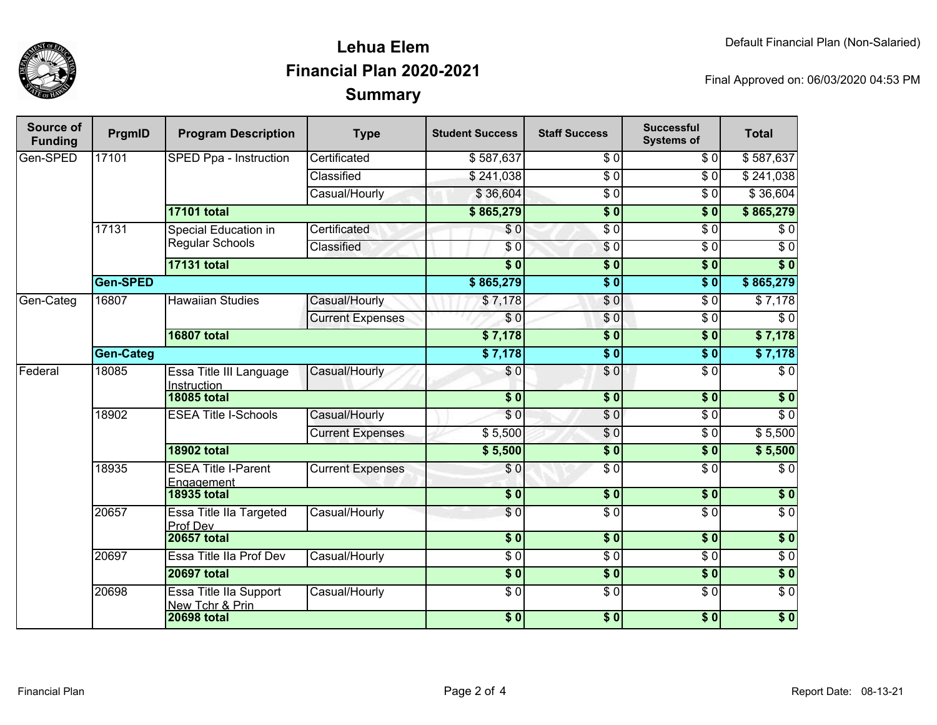

## **SummaryLehua ElemFinancial Plan 2020-2021**

Final Approved on: 06/03/2020 04:53 PM

| Source of<br><b>Funding</b> | PrgmID           | <b>Program Description</b>                    | <b>Type</b>             | <b>Student Success</b> | <b>Staff Success</b> | <b>Successful</b><br><b>Systems of</b> | <b>Total</b>     |
|-----------------------------|------------------|-----------------------------------------------|-------------------------|------------------------|----------------------|----------------------------------------|------------------|
| Gen-SPED                    | 17101            | SPED Ppa - Instruction                        | Certificated            | \$587,637              | $\overline{\$0}$     | \$0                                    | \$587,637        |
|                             |                  |                                               | Classified              | \$241,038              | $\overline{\$0}$     | $\overline{\$0}$                       | \$241,038        |
|                             |                  |                                               | Casual/Hourly           | \$36,604               | $\overline{\$0}$     | $\overline{\$0}$                       | \$36,604         |
|                             |                  | <b>17101 total</b>                            |                         | \$865,279              | $\overline{\$0}$     | $\overline{\$0}$                       | \$865,279        |
|                             | 17131            | Special Education in                          | Certificated            | \$0                    | $\overline{\$0}$     | $\overline{\$0}$                       | \$0              |
|                             |                  | Regular Schools                               | Classified              | \$0                    | $\sqrt{6}$           | $\sqrt{6}$                             | $\overline{\$0}$ |
|                             |                  | <b>17131 total</b>                            |                         | $\overline{\$0}$       | $\overline{\$0}$     | $\overline{\$0}$                       | $\overline{\$0}$ |
|                             | Gen-SPED         |                                               | \$865,279               | $\overline{\$0}$       | s <sub>0</sub>       | \$865,279                              |                  |
| Gen-Categ                   | 16807            | <b>Hawaiian Studies</b>                       | Casual/Hourly           | \$7,178                | \$0                  | $\overline{\$0}$                       | $\sqrt{57,178}$  |
|                             |                  |                                               | <b>Current Expenses</b> | $\overline{\$0}$       | $\frac{6}{6}$        | $\overline{\$0}$                       | $\overline{\$0}$ |
|                             |                  | <b>16807 total</b>                            |                         | \$7,178                | $\overline{\$0}$     | s <sub>0</sub>                         | \$7,178          |
|                             | <b>Gen-Categ</b> |                                               |                         | \$7,178                | $\overline{\$0}$     | $\overline{\$0}$                       | \$7,178          |
| Federal                     | 18085            | Essa Title III Language<br><b>Instruction</b> | Casual/Hourly           | \$0                    | $\frac{1}{\sqrt{2}}$ | $\overline{\$0}$                       | $\sqrt{6}$       |
|                             |                  | <b>18085 total</b>                            |                         | $\overline{\bullet}$   | $\frac{1}{2}$        | \$0                                    | $\overline{\$0}$ |
|                             | 18902            | <b>ESEA Title I-Schools</b>                   | Casual/Hourly           | $\overline{\$0}$       | $\sqrt{6}$           | $\overline{\$0}$                       | $\overline{\$0}$ |
|                             |                  |                                               | <b>Current Expenses</b> | \$5,500                | $\overline{\$0}$     | $\overline{\$0}$                       | \$5,500          |
|                             |                  | <b>18902 total</b>                            |                         | \$5,500                | $\overline{\$0}$     | s <sub>0</sub>                         | \$5,500          |
|                             | 18935            | <b>ESEA Title I-Parent</b><br>Engagement      | <b>Current Expenses</b> | \$0                    | $\sqrt{6}$           | $\overline{\$0}$                       | $\overline{\$0}$ |
|                             |                  | <b>18935 total</b>                            |                         | $\overline{\bullet}$   | $\frac{1}{2}$        | \$0                                    | \$0              |
|                             | 20657            | Essa Title IIa Targeted<br>Prof Dev           | Casual/Hourly           | \$0                    | $\overline{\$0}$     | $\sqrt{6}$                             | $\overline{S}0$  |
|                             |                  | <b>20657 total</b>                            |                         | $\overline{\$0}$       | $\overline{\$0}$     | s <sub>0</sub>                         | $\overline{\$0}$ |
|                             | 20697            | Essa Title IIa Prof Dev                       | Casual/Hourly           | $\overline{\$0}$       | $\overline{\$0}$     | $\sqrt{6}$                             | $\sqrt{6}$       |
|                             |                  | <b>20697 total</b>                            |                         | $\sqrt{6}$             | $\overline{\$0}$     | \$0                                    | $\overline{\$0}$ |
|                             | 20698            | Essa Title IIa Support<br>New Tchr & Prin     | Casual/Hourly           | $\overline{\$0}$       | $\overline{\$0}$     | $\overline{\$0}$                       | $\overline{\$0}$ |
|                             |                  | <b>20698 total</b>                            |                         | $\frac{1}{6}$          | $\overline{\$0}$     | \$0                                    | $\overline{\$0}$ |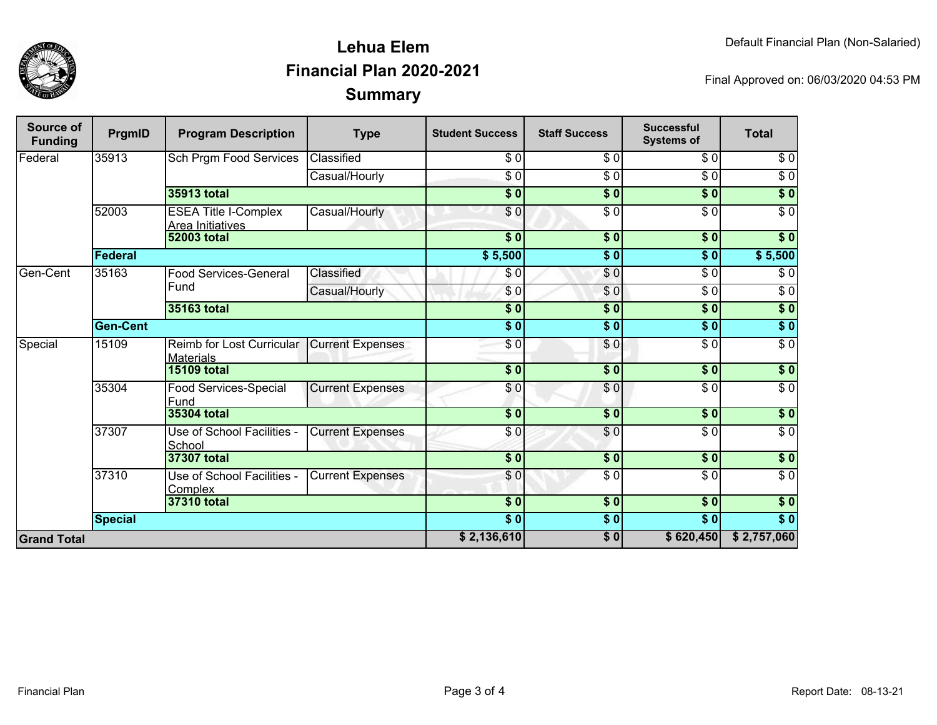

## **SummaryLehua ElemFinancial Plan 2020-2021**

Final Approved on: 06/03/2020 04:53 PM

| Source of<br><b>Funding</b> | PrgmID          | <b>Program Description</b>                      | <b>Type</b>             | <b>Student Success</b> | <b>Staff Success</b> | <b>Successful</b><br><b>Systems of</b> | <b>Total</b>     |
|-----------------------------|-----------------|-------------------------------------------------|-------------------------|------------------------|----------------------|----------------------------------------|------------------|
| <b>Federal</b>              | 35913           | <b>Sch Prgm Food Services</b>                   | Classified              | \$0                    | $\overline{\$0}$     | \$0                                    | $\sqrt{6}$       |
|                             |                 |                                                 | Casual/Hourly           | $\overline{\$0}$       | $\sqrt{6}$           | $\overline{\$0}$                       | $\sqrt{6}$       |
|                             |                 | 35913 total                                     |                         | $\overline{\$0}$       | $\overline{\$0}$     | \$0                                    | $\sqrt{6}$       |
|                             | 52003           | <b>ESEA Title I-Complex</b><br>Area Initiatives | Casual/Hourly           | \$0                    | $\sqrt{6}$           | \$0                                    | $\overline{\$0}$ |
|                             |                 | <b>52003 total</b>                              |                         | \$0                    | $\sqrt{6}$           | $\sqrt{5}$                             | $\overline{\$0}$ |
|                             | Federal         |                                                 |                         |                        | $\sqrt{6}$           | \$0                                    | \$5,500          |
| Gen-Cent                    | 35163           | <b>Food Services-General</b>                    | Classified              | \$0                    | \$0                  | $\overline{\$0}$                       | $\overline{\$0}$ |
|                             |                 | Fund                                            | Casual/Hourly           | \$0                    | \$0                  | $\overline{\$0}$                       | $\sqrt{6}$       |
|                             |                 | <b>35163 total</b>                              |                         | $\overline{\$0}$       | $\overline{\$}0$     | \$0                                    | $\sqrt{6}$       |
|                             | <b>Gen-Cent</b> |                                                 | $\overline{\bullet}$ 0  | $\overline{\$0}$       | \$0                  | \$0                                    |                  |
| Special                     | 15109           | Reimb for Lost Curricular<br><b>Materials</b>   | <b>Current Expenses</b> | $\overline{S}0$        | \$0                  | $\overline{\$0}$                       | $\overline{\$0}$ |
|                             |                 | <b>15109 total</b>                              |                         | $\sqrt{5}$             | \$0                  | \$0                                    | \$0              |
|                             | 35304           | Food Services-Special<br>Fund                   | <b>Current Expenses</b> | \$0                    | $\sqrt{0}$           | $\sqrt{6}$                             | $\sqrt{6}$       |
|                             |                 | 35304 total                                     |                         | \$0                    | $\overline{\$0}$     | $\overline{\$0}$                       | $\sqrt{50}$      |
|                             | 37307           | Use of School Facilities -<br>School            | <b>Current Expenses</b> | \$0                    | \$0                  | $\overline{S}0$                        | $\overline{60}$  |
|                             |                 | 37307 total                                     |                         | \$0                    | \$0                  | \$0                                    | $\sqrt{6}$       |
|                             | 37310           | Use of School Facilities -<br>Complex           | <b>Current Expenses</b> | \$0                    | \$0                  | \$0                                    | $\overline{\$0}$ |
|                             | 37310 total     |                                                 | \$0                     | \$0                    | $\sqrt{5}$           | \$0                                    |                  |
|                             | <b>Special</b>  |                                                 |                         | $\overline{\$0}$       | \$0                  | $\overline{\$0}$                       | \$0              |
| <b>Grand Total</b>          |                 |                                                 |                         | \$2,136,610            | \$0                  | \$620,450                              | \$2,757,060      |